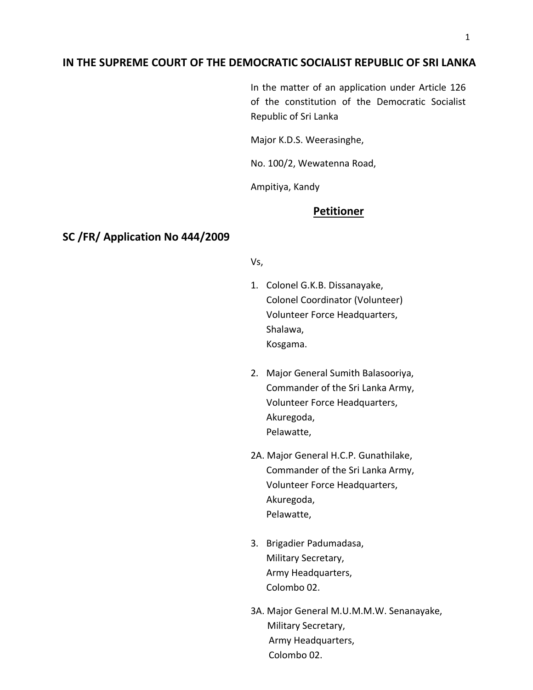# **IN THE SUPREME COURT OF THE DEMOCRATIC SOCIALIST REPUBLIC OF SRI LANKA**

In the matter of an application under Article 126 of the constitution of the Democratic Socialist Republic of Sri Lanka

Major K.D.S. Weerasinghe,

No. 100/2, Wewatenna Road,

Ampitiya, Kandy

## **Petitioner**

### **SC /FR/ Application No 444/2009**

#### Vs,

- 1. Colonel G.K.B. Dissanayake, Colonel Coordinator (Volunteer) Volunteer Force Headquarters, Shalawa, Kosgama.
- 2. Major General Sumith Balasooriya, Commander of the Sri Lanka Army, Volunteer Force Headquarters, Akuregoda, Pelawatte,
- 2A. Major General H.C.P. Gunathilake, Commander of the Sri Lanka Army, Volunteer Force Headquarters, Akuregoda, Pelawatte,
- 3. Brigadier Padumadasa, Military Secretary, Army Headquarters, Colombo 02.
- 3A. Major General M.U.M.M.W. Senanayake, Military Secretary, Army Headquarters, Colombo 02.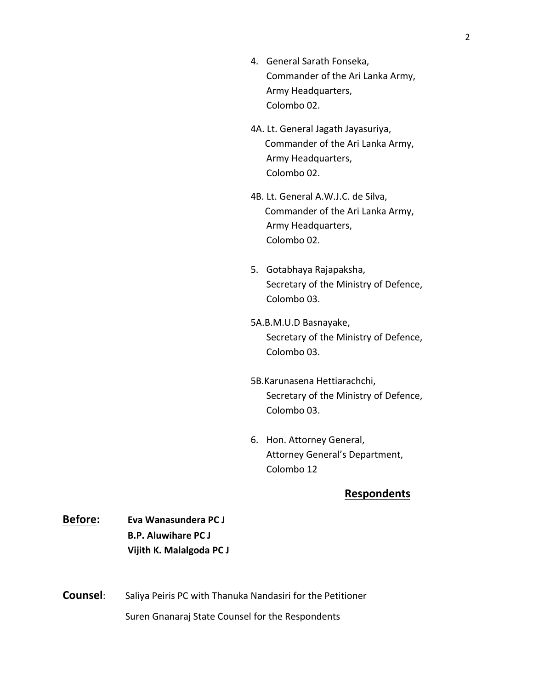- 4. General Sarath Fonseka, Commander of the Ari Lanka Army, Army Headquarters, Colombo 02.
- 4A. Lt. General Jagath Jayasuriya, Commander of the Ari Lanka Army, Army Headquarters, Colombo 02.
- 4B. Lt. General A.W.J.C. de Silva, Commander of the Ari Lanka Army, Army Headquarters, Colombo 02.
- 5. Gotabhaya Rajapaksha, Secretary of the Ministry of Defence, Colombo 03.
- 5A.B.M.U.D Basnayake, Secretary of the Ministry of Defence, Colombo 03.
- 5B.Karunasena Hettiarachchi, Secretary of the Ministry of Defence, Colombo 03.
- 6. Hon. Attorney General, Attorney General's Department, Colombo 12

# **Respondents**

- **Before: Eva Wanasundera PC J B.P. Aluwihare PC J Vijith K. Malalgoda PC J**
- **Counsel:** Saliya Peiris PC with Thanuka Nandasiri for the Petitioner

Suren Gnanaraj State Counsel for the Respondents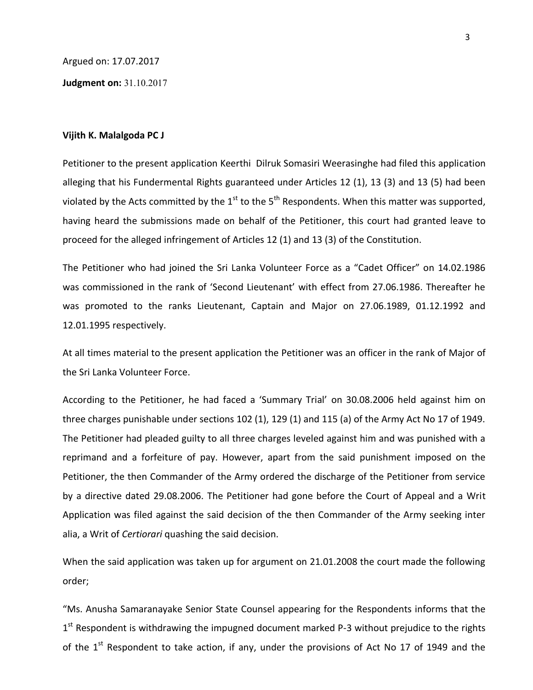Argued on: 17.07.2017

**Judgment on:** 31.10.2017

#### **Vijith K. Malalgoda PC J**

Petitioner to the present application Keerthi Dilruk Somasiri Weerasinghe had filed this application alleging that his Fundermental Rights guaranteed under Articles 12 (1), 13 (3) and 13 (5) had been violated by the Acts committed by the  $1<sup>st</sup>$  to the  $5<sup>th</sup>$  Respondents. When this matter was supported, having heard the submissions made on behalf of the Petitioner, this court had granted leave to proceed for the alleged infringement of Articles 12 (1) and 13 (3) of the Constitution.

The Petitioner who had joined the Sri Lanka Volunteer Force as a "Cadet Officer" on 14.02.1986 was commissioned in the rank of 'Second Lieutenant' with effect from 27.06.1986. Thereafter he was promoted to the ranks Lieutenant, Captain and Major on 27.06.1989, 01.12.1992 and 12.01.1995 respectively.

At all times material to the present application the Petitioner was an officer in the rank of Major of the Sri Lanka Volunteer Force.

According to the Petitioner, he had faced a 'Summary Trial' on 30.08.2006 held against him on three charges punishable under sections 102 (1), 129 (1) and 115 (a) of the Army Act No 17 of 1949. The Petitioner had pleaded guilty to all three charges leveled against him and was punished with a reprimand and a forfeiture of pay. However, apart from the said punishment imposed on the Petitioner, the then Commander of the Army ordered the discharge of the Petitioner from service by a directive dated 29.08.2006. The Petitioner had gone before the Court of Appeal and a Writ Application was filed against the said decision of the then Commander of the Army seeking inter alia, a Writ of *Certiorari* quashing the said decision.

When the said application was taken up for argument on 21.01.2008 the court made the following order;

"Ms. Anusha Samaranayake Senior State Counsel appearing for the Respondents informs that the 1<sup>st</sup> Respondent is withdrawing the impugned document marked P-3 without prejudice to the rights of the 1<sup>st</sup> Respondent to take action, if any, under the provisions of Act No 17 of 1949 and the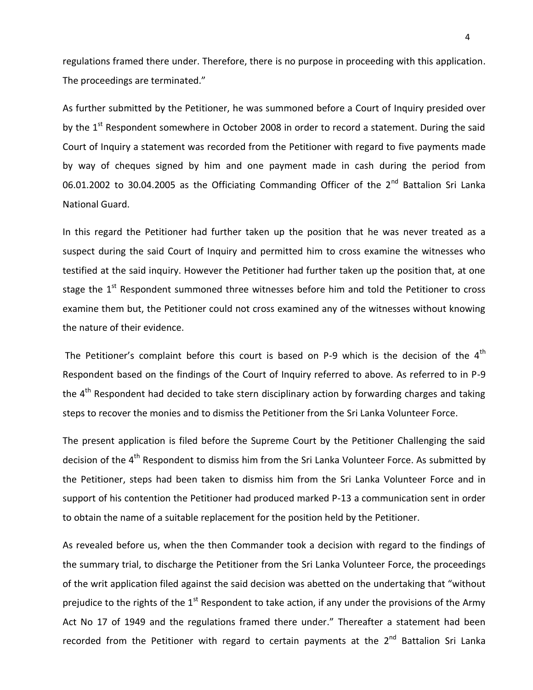regulations framed there under. Therefore, there is no purpose in proceeding with this application. The proceedings are terminated."

As further submitted by the Petitioner, he was summoned before a Court of Inquiry presided over by the  $1<sup>st</sup>$  Respondent somewhere in October 2008 in order to record a statement. During the said Court of Inquiry a statement was recorded from the Petitioner with regard to five payments made by way of cheques signed by him and one payment made in cash during the period from 06.01.2002 to 30.04.2005 as the Officiating Commanding Officer of the  $2^{nd}$  Battalion Sri Lanka National Guard.

In this regard the Petitioner had further taken up the position that he was never treated as a suspect during the said Court of Inquiry and permitted him to cross examine the witnesses who testified at the said inquiry. However the Petitioner had further taken up the position that, at one stage the  $1<sup>st</sup>$  Respondent summoned three witnesses before him and told the Petitioner to cross examine them but, the Petitioner could not cross examined any of the witnesses without knowing the nature of their evidence.

The Petitioner's complaint before this court is based on P-9 which is the decision of the  $4<sup>th</sup>$ Respondent based on the findings of the Court of Inquiry referred to above. As referred to in P-9 the  $4<sup>th</sup>$  Respondent had decided to take stern disciplinary action by forwarding charges and taking steps to recover the monies and to dismiss the Petitioner from the Sri Lanka Volunteer Force.

The present application is filed before the Supreme Court by the Petitioner Challenging the said decision of the 4<sup>th</sup> Respondent to dismiss him from the Sri Lanka Volunteer Force. As submitted by the Petitioner, steps had been taken to dismiss him from the Sri Lanka Volunteer Force and in support of his contention the Petitioner had produced marked P-13 a communication sent in order to obtain the name of a suitable replacement for the position held by the Petitioner.

As revealed before us, when the then Commander took a decision with regard to the findings of the summary trial, to discharge the Petitioner from the Sri Lanka Volunteer Force, the proceedings of the writ application filed against the said decision was abetted on the undertaking that "without prejudice to the rights of the  $1<sup>st</sup>$  Respondent to take action, if any under the provisions of the Army Act No 17 of 1949 and the regulations framed there under." Thereafter a statement had been recorded from the Petitioner with regard to certain payments at the  $2^{nd}$  Battalion Sri Lanka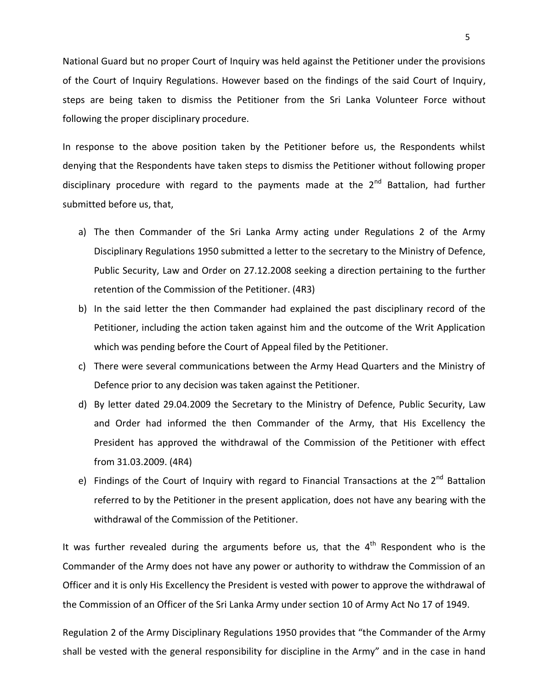National Guard but no proper Court of Inquiry was held against the Petitioner under the provisions of the Court of Inquiry Regulations. However based on the findings of the said Court of Inquiry, steps are being taken to dismiss the Petitioner from the Sri Lanka Volunteer Force without following the proper disciplinary procedure.

In response to the above position taken by the Petitioner before us, the Respondents whilst denying that the Respondents have taken steps to dismiss the Petitioner without following proper disciplinary procedure with regard to the payments made at the  $2^{nd}$  Battalion, had further submitted before us, that,

- a) The then Commander of the Sri Lanka Army acting under Regulations 2 of the Army Disciplinary Regulations 1950 submitted a letter to the secretary to the Ministry of Defence, Public Security, Law and Order on 27.12.2008 seeking a direction pertaining to the further retention of the Commission of the Petitioner. (4R3)
- b) In the said letter the then Commander had explained the past disciplinary record of the Petitioner, including the action taken against him and the outcome of the Writ Application which was pending before the Court of Appeal filed by the Petitioner.
- c) There were several communications between the Army Head Quarters and the Ministry of Defence prior to any decision was taken against the Petitioner.
- d) By letter dated 29.04.2009 the Secretary to the Ministry of Defence, Public Security, Law and Order had informed the then Commander of the Army, that His Excellency the President has approved the withdrawal of the Commission of the Petitioner with effect from 31.03.2009. (4R4)
- e) Findings of the Court of Inquiry with regard to Financial Transactions at the  $2^{nd}$  Battalion referred to by the Petitioner in the present application, does not have any bearing with the withdrawal of the Commission of the Petitioner.

It was further revealed during the arguments before us, that the  $4<sup>th</sup>$  Respondent who is the Commander of the Army does not have any power or authority to withdraw the Commission of an Officer and it is only His Excellency the President is vested with power to approve the withdrawal of the Commission of an Officer of the Sri Lanka Army under section 10 of Army Act No 17 of 1949.

Regulation 2 of the Army Disciplinary Regulations 1950 provides that "the Commander of the Army shall be vested with the general responsibility for discipline in the Army" and in the case in hand